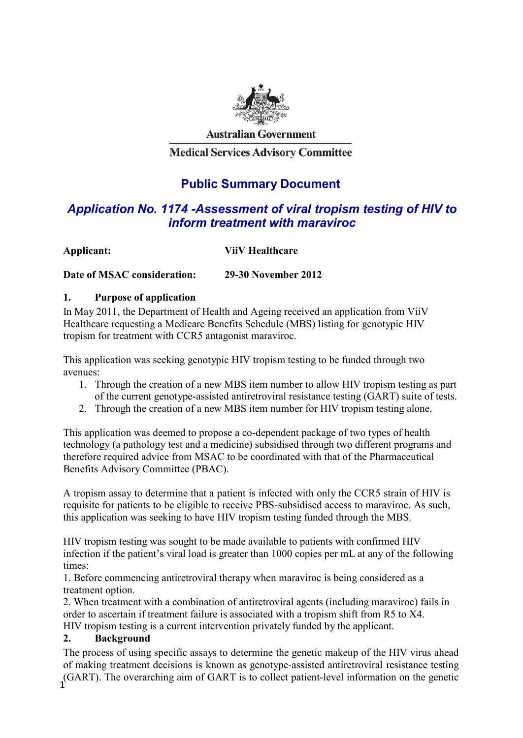

**Australian Government** 

**Medical Services Advisory Committee** 

# **Public Summary Document**

# *Application No. 1174 -Assessment of viral tropism testing of HIV to inform treatment with maraviroc*

| Applicant: | <b>ViiV Healthcare</b> |
|------------|------------------------|
|            |                        |

**Date of MSAC consideration: 29-30 November 2012**

#### **1. Purpose of application**

In May 2011, the Department of Health and Ageing received an application from ViiV Healthcare requesting a Medicare Benefits Schedule (MBS) listing for genotypic HIV tropism for treatment with CCR5 antagonist maraviroc.

This application was seeking genotypic HIV tropism testing to be funded through two avenues:

- 1. Through the creation of a new MBS item number to allow HIV tropism testing as part of the current genotype-assisted antiretroviral resistance testing (GART) suite of tests.
- 2. Through the creation of a new MBS item number for HIV tropism testing alone.

This application was deemed to propose a co-dependent package of two types of health technology (a pathology test and a medicine) subsidised through two different programs and therefore required advice from MSAC to be coordinated with that of the Pharmaceutical Benefits Advisory Committee (PBAC).

A tropism assay to determine that a patient is infected with only the CCR5 strain of HIV is requisite for patients to be eligible to receive PBS-subsidised access to maraviroc. As such, this application was seeking to have HIV tropism testing funded through the MBS.

HIV tropism testing was sought to be made available to patients with confirmed HIV infection if the patient's viral load is greater than 1000 copies per mL at any of the following times:

1. Before commencing antiretroviral therapy when maraviroc is being considered as a treatment option.

2. When treatment with a combination of antiretroviral agents (including maraviroc) fails in order to ascertain if treatment failure is associated with a tropism shift from R5 to X4. HIV tropism testing is a current intervention privately funded by the applicant.

#### **2. Background**

1 The process of using specific assays to determine the genetic makeup of the HIV virus ahead of making treatment decisions is known as genotype-assisted antiretroviral resistance testing (GART). The overarching aim of GART is to collect patient-level information on the genetic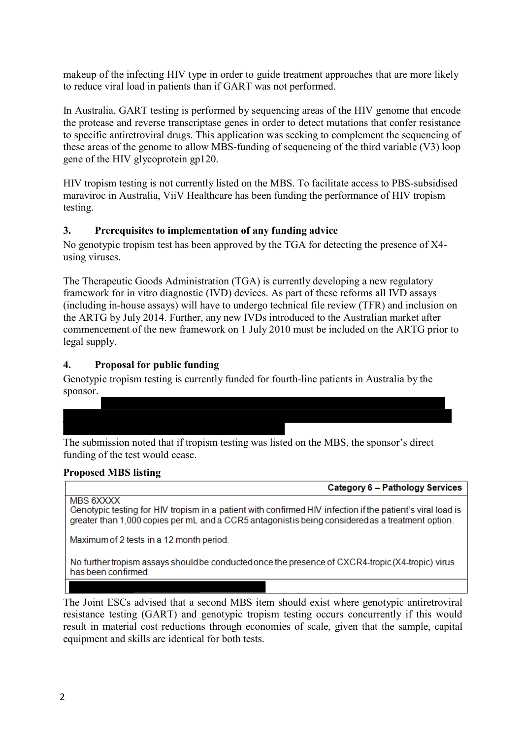makeup of the infecting HIV type in order to guide treatment approaches that are more likely to reduce viral load in patients than if GART was not performed.

In Australia, GART testing is performed by sequencing areas of the HIV genome that encode the protease and reverse transcriptase genes in order to detect mutations that confer resistance to specific antiretroviral drugs. This application was seeking to complement the sequencing of these areas of the genome to allow MBS-funding of sequencing of the third variable (V3) loop gene of the HIV glycoprotein gp120.

HIV tropism testing is not currently listed on the MBS. To facilitate access to PBS-subsidised maraviroc in Australia, ViiV Healthcare has been funding the performance of HIV tropism testing.

# **3. Prerequisites to implementation of any funding advice**

No genotypic tropism test has been approved by the TGA for detecting the presence of X4 using viruses.

The Therapeutic Goods Administration (TGA) is currently developing a new regulatory framework for in vitro diagnostic (IVD) devices. As part of these reforms all IVD assays (including in-house assays) will have to undergo technical file review (TFR) and inclusion on the ARTG by July 2014. Further, any new IVDs introduced to the Australian market after commencement of the new framework on 1 July 2010 must be included on the ARTG prior to legal supply.

#### **4. Proposal for public funding**

Genotypic tropism testing is currently funded for fourth-line patients in Australia by the sponsor.

| The submission noted that if tropism testing was listed on the MBS, the sponsor's direct |
|------------------------------------------------------------------------------------------|
| funding of the test would cease.                                                         |

#### **Proposed MBS listing**

MBS 6XXXX

Genotypic testing for HIV tropism in a patient with confirmed HIV infection if the patient's viral load is greater than 1,000 copies per mL and a CCR5 antagonistis being considered as a treatment option.

Maximum of 2 tests in a 12 month period.

No further tropism assays should be conducted once the presence of CXCR4-tropic (X4-tropic) virus has been confirmed.

The Joint ESCs advised that a second MBS item should exist where genotypic antiretroviral resistance testing (GART) and genotypic tropism testing occurs concurrently if this would result in material cost reductions through economies of scale, given that the sample, capital equipment and skills are identical for both tests.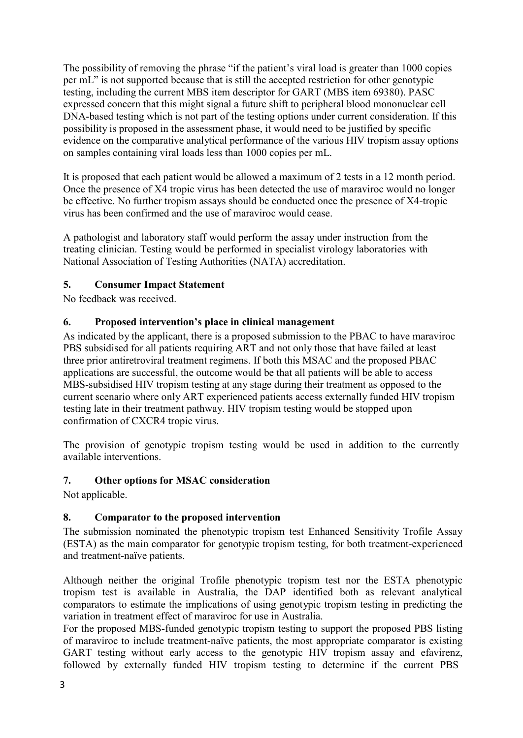The possibility of removing the phrase "if the patient's viral load is greater than 1000 copies per mL" is not supported because that is still the accepted restriction for other genotypic testing, including the current MBS item descriptor for GART (MBS item 69380). PASC expressed concern that this might signal a future shift to peripheral blood mononuclear cell DNA-based testing which is not part of the testing options under current consideration. If this possibility is proposed in the assessment phase, it would need to be justified by specific evidence on the comparative analytical performance of the various HIV tropism assay options on samples containing viral loads less than 1000 copies per mL.

It is proposed that each patient would be allowed a maximum of 2 tests in a 12 month period. Once the presence of X4 tropic virus has been detected the use of maraviroc would no longer be effective. No further tropism assays should be conducted once the presence of X4-tropic virus has been confirmed and the use of maraviroc would cease.

A pathologist and laboratory staff would perform the assay under instruction from the treating clinician. Testing would be performed in specialist virology laboratories with National Association of Testing Authorities (NATA) accreditation.

# **5. Consumer Impact Statement**

No feedback was received.

# **6. Proposed intervention's place in clinical management**

As indicated by the applicant, there is a proposed submission to the PBAC to have maraviroc PBS subsidised for all patients requiring ART and not only those that have failed at least three prior antiretroviral treatment regimens. If both this MSAC and the proposed PBAC applications are successful, the outcome would be that all patients will be able to access MBS-subsidised HIV tropism testing at any stage during their treatment as opposed to the current scenario where only ART experienced patients access externally funded HIV tropism testing late in their treatment pathway. HIV tropism testing would be stopped upon confirmation of CXCR4 tropic virus.

The provision of genotypic tropism testing would be used in addition to the currently available interventions.

#### **7. Other options for MSAC consideration**

Not applicable.

# **8. Comparator to the proposed intervention**

The submission nominated the phenotypic tropism test Enhanced Sensitivity Trofile Assay (ESTA) as the main comparator for genotypic tropism testing, for both treatment-experienced and treatment-naïve patients.

Although neither the original Trofile phenotypic tropism test nor the ESTA phenotypic tropism test is available in Australia, the DAP identified both as relevant analytical comparators to estimate the implications of using genotypic tropism testing in predicting the variation in treatment effect of maraviroc for use in Australia.

For the proposed MBS-funded genotypic tropism testing to support the proposed PBS listing of maraviroc to include treatment-naïve patients, the most appropriate comparator is existing GART testing without early access to the genotypic HIV tropism assay and efavirenz, followed by externally funded HIV tropism testing to determine if the current PBS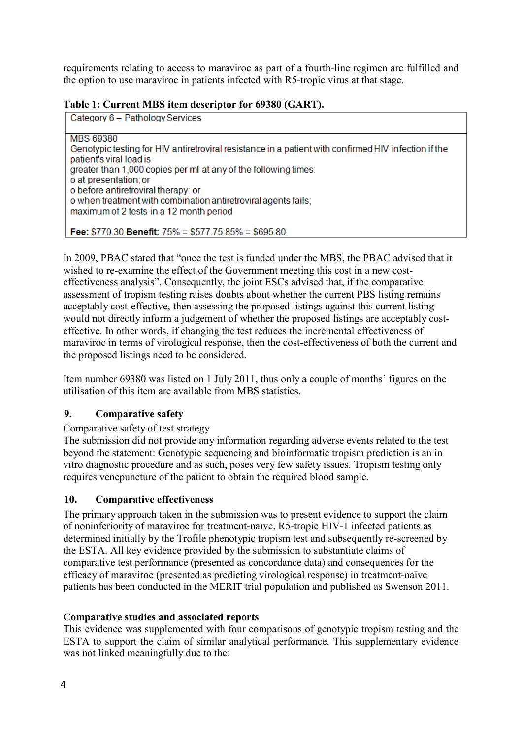requirements relating to access to maraviroc as part of a fourth-line regimen are fulfilled and the option to use maraviroc in patients infected with R5-tropic virus at that stage.

| Table 1: Current MBS item descriptor for 69380 (GART). |  |  |
|--------------------------------------------------------|--|--|
|--------------------------------------------------------|--|--|

Category 6 - Pathology Services

**MBS 69380** Genotypic testing for HIV antiretroviral resistance in a patient with confirmed HIV infection if the patient's viral load is greater than 1,000 copies per ml at any of the following times: o at presentation; or o before antiretroviral therapy: or o when treatment with combination antiretroviral agents fails; maximum of 2 tests in a 12 month period

Fee:  $$770.30$  Benefit:  $75\% = $577.7585\% = $695.80$ 

In 2009, PBAC stated that "once the test is funded under the MBS, the PBAC advised that it wished to re-examine the effect of the Government meeting this cost in a new costeffectiveness analysis". Consequently, the joint ESCs advised that, if the comparative assessment of tropism testing raises doubts about whether the current PBS listing remains acceptably cost-effective, then assessing the proposed listings against this current listing would not directly inform a judgement of whether the proposed listings are acceptably costeffective. In other words, if changing the test reduces the incremental effectiveness of maraviroc in terms of virological response, then the cost-effectiveness of both the current and the proposed listings need to be considered.

Item number 69380 was listed on 1 July 2011, thus only a couple of months' figures on the utilisation of this item are available from MBS statistics.

# **9. Comparative safety**

# Comparative safety of test strategy

The submission did not provide any information regarding adverse events related to the test beyond the statement: Genotypic sequencing and bioinformatic tropism prediction is an in vitro diagnostic procedure and as such, poses very few safety issues. Tropism testing only requires venepuncture of the patient to obtain the required blood sample.

# **10. Comparative effectiveness**

The primary approach taken in the submission was to present evidence to support the claim of noninferiority of maraviroc for treatment-naïve, R5-tropic HIV-1 infected patients as determined initially by the Trofile phenotypic tropism test and subsequently re-screened by the ESTA. All key evidence provided by the submission to substantiate claims of comparative test performance (presented as concordance data) and consequences for the efficacy of maraviroc (presented as predicting virological response) in treatment-naïve patients has been conducted in the MERIT trial population and published as Swenson 2011.

#### **Comparative studies and associated reports**

This evidence was supplemented with four comparisons of genotypic tropism testing and the ESTA to support the claim of similar analytical performance. This supplementary evidence was not linked meaningfully due to the: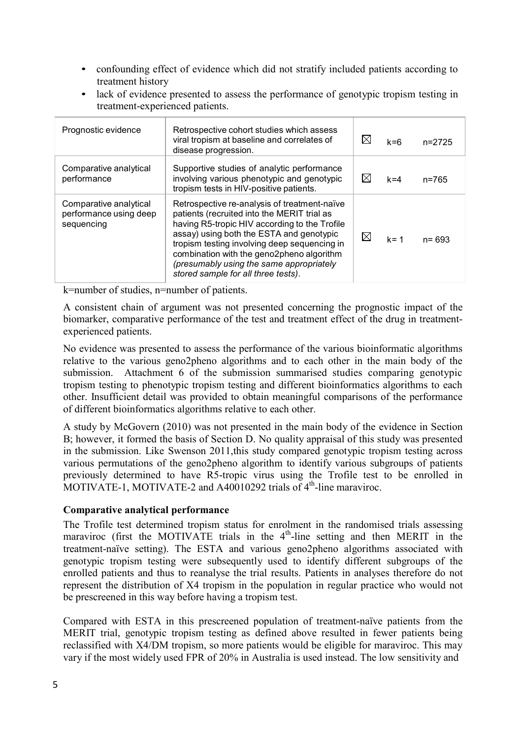- confounding effect of evidence which did not stratify included patients according to treatment history
- lack of evidence presented to assess the performance of genotypic tropism testing in treatment-experienced patients.

| Prognostic evidence                                            | Retrospective cohort studies which assess<br>viral tropism at baseline and correlates of<br>disease progression.                                                                                                                                                                                                                                                         | $\boxtimes$ | $k = 6$ | $n=2725$  |
|----------------------------------------------------------------|--------------------------------------------------------------------------------------------------------------------------------------------------------------------------------------------------------------------------------------------------------------------------------------------------------------------------------------------------------------------------|-------------|---------|-----------|
| Comparative analytical<br>performance                          | Supportive studies of analytic performance<br>involving various phenotypic and genotypic<br>tropism tests in HIV-positive patients.                                                                                                                                                                                                                                      | X           | $k = 4$ | n=765     |
| Comparative analytical<br>performance using deep<br>sequencing | Retrospective re-analysis of treatment-naïve<br>patients (recruited into the MERIT trial as<br>having R5-tropic HIV according to the Trofile<br>assay) using both the ESTA and genotypic<br>tropism testing involving deep sequencing in<br>combination with the geno2pheno algorithm<br>(presumably using the same appropriately<br>stored sample for all three tests). | $\boxtimes$ | $k = 1$ | $n = 693$ |

k=number of studies, n=number of patients.

A consistent chain of argument was not presented concerning the prognostic impact of the biomarker, comparative performance of the test and treatment effect of the drug in treatmentexperienced patients.

No evidence was presented to assess the performance of the various bioinformatic algorithms relative to the various geno2pheno algorithms and to each other in the main body of the submission. Attachment 6 of the submission summarised studies comparing genotypic tropism testing to phenotypic tropism testing and different bioinformatics algorithms to each other. Insufficient detail was provided to obtain meaningful comparisons of the performance of different bioinformatics algorithms relative to each other.

A study by McGovern (2010) was not presented in the main body of the evidence in Section B; however, it formed the basis of Section D. No quality appraisal of this study was presented in the submission. Like Swenson 2011,this study compared genotypic tropism testing across various permutations of the geno2pheno algorithm to identify various subgroups of patients previously determined to have R5-tropic virus using the Trofile test to be enrolled in MOTIVATE-1, MOTIVATE-2 and A40010292 trials of  $4<sup>th</sup>$ -line maraviroc.

#### **Comparative analytical performance**

The Trofile test determined tropism status for enrolment in the randomised trials assessing maraviroc (first the MOTIVATE trials in the  $4<sup>th</sup>$ -line setting and then MERIT in the treatment-naïve setting). The ESTA and various geno2pheno algorithms associated with genotypic tropism testing were subsequently used to identify different subgroups of the enrolled patients and thus to reanalyse the trial results. Patients in analyses therefore do not represent the distribution of X4 tropism in the population in regular practice who would not be prescreened in this way before having a tropism test.

Compared with ESTA in this prescreened population of treatment-naïve patients from the MERIT trial, genotypic tropism testing as defined above resulted in fewer patients being reclassified with X4/DM tropism, so more patients would be eligible for maraviroc. This may vary if the most widely used FPR of 20% in Australia is used instead. The low sensitivity and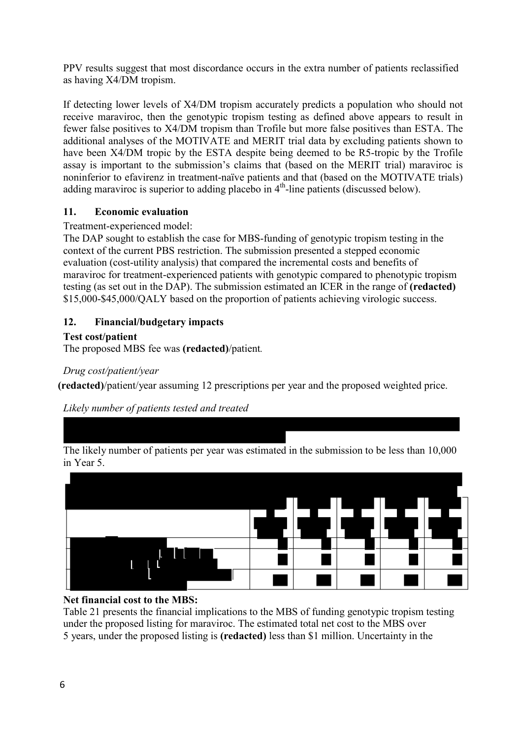PPV results suggest that most discordance occurs in the extra number of patients reclassified as having X4/DM tropism.

If detecting lower levels of X4/DM tropism accurately predicts a population who should not receive maraviroc, then the genotypic tropism testing as defined above appears to result in fewer false positives to X4/DM tropism than Trofile but more false positives than ESTA. The additional analyses of the MOTIVATE and MERIT trial data by excluding patients shown to have been X4/DM tropic by the ESTA despite being deemed to be R5-tropic by the Trofile assay is important to the submission's claims that (based on the MERIT trial) maraviroc is noninferior to efavirenz in treatment-naïve patients and that (based on the MOTIVATE trials) adding maraviroc is superior to adding placebo in  $4<sup>th</sup>$ -line patients (discussed below).

# **11. Economic evaluation**

#### Treatment-experienced model:

The DAP sought to establish the case for MBS-funding of genotypic tropism testing in the context of the current PBS restriction. The submission presented a stepped economic evaluation (cost-utility analysis) that compared the incremental costs and benefits of maraviroc for treatment-experienced patients with genotypic compared to phenotypic tropism testing (as set out in the DAP). The submission estimated an ICER in the range of **(redacted)** \$15,000-\$45,000/QALY based on the proportion of patients achieving virologic success.

# **12. Financial/budgetary impacts**

#### **Test cost/patient**

The proposed MBS fee was **(redacted)**/patient*.*

#### *Drug cost/patient/year*

**(redacted)**/patient/year assuming 12 prescriptions per year and the proposed weighted price.

*Likely number of patients tested and treated*







Table 21 presents the financial implications to the MBS of funding genotypic tropism testing under the proposed listing for maraviroc. The estimated total net cost to the MBS over 5 years, under the proposed listing is **(redacted)** less than \$1 million. Uncertainty in the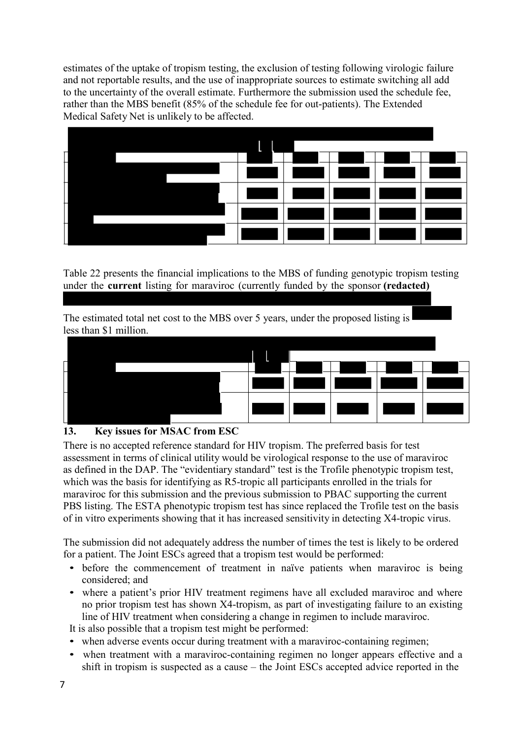estimates of the uptake of tropism testing, the exclusion of testing following virologic failure and not reportable results, and the use of inappropriate sources to estimate switching all add to the uncertainty of the overall estimate. Furthermore the submission used the schedule fee, rather than the MBS benefit (85% of the schedule fee for out-patients). The Extended Medical Safety Net is unlikely to be affected.



Table 22 presents the financial implications to the MBS of funding genotypic tropism testing under the **current** listing for maraviroc (currently funded by the sponsor **(redacted)**

The estimated total net cost to the MBS over 5 years, under the proposed listing is less than \$1 million.



# **13. Key issues for MSAC from ESC**

There is no accepted reference standard for HIV tropism. The preferred basis for test assessment in terms of clinical utility would be virological response to the use of maraviroc as defined in the DAP. The "evidentiary standard" test is the Trofile phenotypic tropism test, which was the basis for identifying as R5-tropic all participants enrolled in the trials for maraviroc for this submission and the previous submission to PBAC supporting the current PBS listing. The ESTA phenotypic tropism test has since replaced the Trofile test on the basis of in vitro experiments showing that it has increased sensitivity in detecting X4-tropic virus.

The submission did not adequately address the number of times the test is likely to be ordered for a patient. The Joint ESCs agreed that a tropism test would be performed:

- before the commencement of treatment in naïve patients when maraviroc is being considered; and
- where a patient's prior HIV treatment regimens have all excluded maraviroc and where no prior tropism test has shown X4-tropism, as part of investigating failure to an existing line of HIV treatment when considering a change in regimen to include maraviroc.

It is also possible that a tropism test might be performed:

- when adverse events occur during treatment with a maraviroc-containing regimen;
- when treatment with a maraviroc-containing regimen no longer appears effective and a shift in tropism is suspected as a cause – the Joint ESCs accepted advice reported in the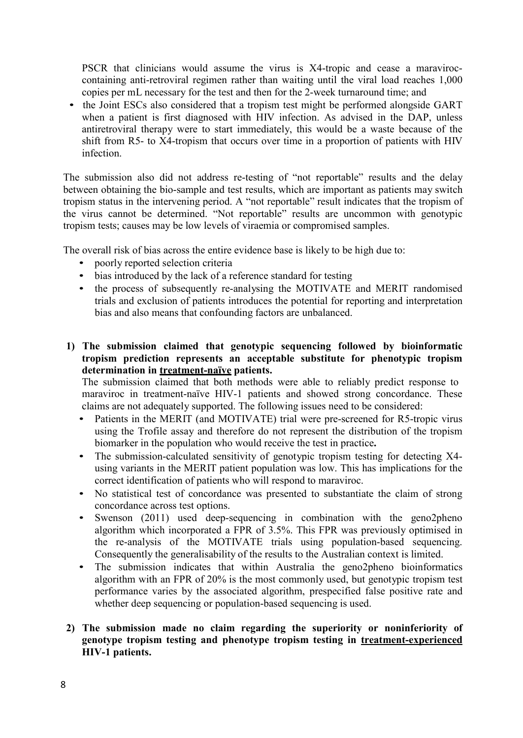PSCR that clinicians would assume the virus is X4-tropic and cease a maraviroccontaining anti-retroviral regimen rather than waiting until the viral load reaches 1,000 copies per mL necessary for the test and then for the 2-week turnaround time; and

• the Joint ESCs also considered that a tropism test might be performed alongside GART when a patient is first diagnosed with HIV infection. As advised in the DAP, unless antiretroviral therapy were to start immediately, this would be a waste because of the shift from R5- to X4-tropism that occurs over time in a proportion of patients with HIV infection.

The submission also did not address re-testing of "not reportable" results and the delay between obtaining the bio-sample and test results, which are important as patients may switch tropism status in the intervening period. A "not reportable" result indicates that the tropism of the virus cannot be determined. "Not reportable" results are uncommon with genotypic tropism tests; causes may be low levels of viraemia or compromised samples.

The overall risk of bias across the entire evidence base is likely to be high due to:

- poorly reported selection criteria
- bias introduced by the lack of a reference standard for testing
- the process of subsequently re-analysing the MOTIVATE and MERIT randomised trials and exclusion of patients introduces the potential for reporting and interpretation bias and also means that confounding factors are unbalanced.
- **1) The submission claimed that genotypic sequencing followed by bioinformatic tropism prediction represents an acceptable substitute for phenotypic tropism determination in treatment-naïve patients.**

The submission claimed that both methods were able to reliably predict response to maraviroc in treatment-naïve HIV-1 patients and showed strong concordance. These claims are not adequately supported. The following issues need to be considered:

- Patients in the MERIT (and MOTIVATE) trial were pre-screened for R5-tropic virus using the Trofile assay and therefore do not represent the distribution of the tropism biomarker in the population who would receive the test in practice**.**
- The submission-calculated sensitivity of genotypic tropism testing for detecting X4 using variants in the MERIT patient population was low. This has implications for the correct identification of patients who will respond to maraviroc.
- No statistical test of concordance was presented to substantiate the claim of strong concordance across test options.
- Swenson (2011) used deep-sequencing in combination with the geno2pheno algorithm which incorporated a FPR of 3.5%. This FPR was previously optimised in the re-analysis of the MOTIVATE trials using population-based sequencing. Consequently the generalisability of the results to the Australian context is limited.
- The submission indicates that within Australia the geno2pheno bioinformatics algorithm with an FPR of 20% is the most commonly used, but genotypic tropism test performance varies by the associated algorithm, prespecified false positive rate and whether deep sequencing or population-based sequencing is used.
- **2) The submission made no claim regarding the superiority or noninferiority of genotype tropism testing and phenotype tropism testing in treatment-experienced HIV-1 patients.**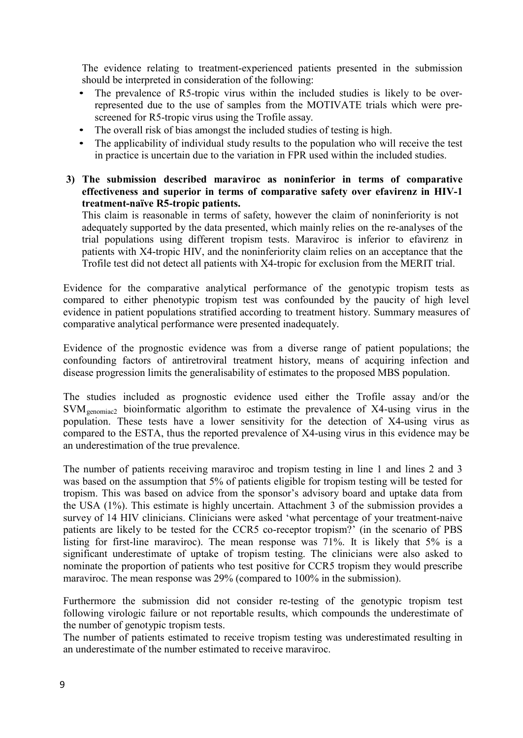The evidence relating to treatment-experienced patients presented in the submission should be interpreted in consideration of the following:

- The prevalence of R5-tropic virus within the included studies is likely to be overrepresented due to the use of samples from the MOTIVATE trials which were prescreened for R5-tropic virus using the Trofile assay.
- The overall risk of bias amongst the included studies of testing is high.
- The applicability of individual study results to the population who will receive the test in practice is uncertain due to the variation in FPR used within the included studies.
- **3) The submission described maraviroc as noninferior in terms of comparative effectiveness and superior in terms of comparative safety over efavirenz in HIV-1 treatment-naïve R5-tropic patients.**

This claim is reasonable in terms of safety, however the claim of noninferiority is not adequately supported by the data presented, which mainly relies on the re-analyses of the trial populations using different tropism tests. Maraviroc is inferior to efavirenz in patients with X4-tropic HIV, and the noninferiority claim relies on an acceptance that the Trofile test did not detect all patients with X4-tropic for exclusion from the MERIT trial.

Evidence for the comparative analytical performance of the genotypic tropism tests as compared to either phenotypic tropism test was confounded by the paucity of high level evidence in patient populations stratified according to treatment history. Summary measures of comparative analytical performance were presented inadequately.

Evidence of the prognostic evidence was from a diverse range of patient populations; the confounding factors of antiretroviral treatment history, means of acquiring infection and disease progression limits the generalisability of estimates to the proposed MBS population.

The studies included as prognostic evidence used either the Trofile assay and/or the  $SVM_{\text{genomiac2}}$  bioinformatic algorithm to estimate the prevalence of X4-using virus in the population. These tests have a lower sensitivity for the detection of X4-using virus as compared to the ESTA, thus the reported prevalence of X4-using virus in this evidence may be an underestimation of the true prevalence.

The number of patients receiving maraviroc and tropism testing in line 1 and lines 2 and 3 was based on the assumption that 5% of patients eligible for tropism testing will be tested for tropism. This was based on advice from the sponsor's advisory board and uptake data from the USA (1%). This estimate is highly uncertain. Attachment 3 of the submission provides a survey of 14 HIV clinicians. Clinicians were asked 'what percentage of your treatment-naive patients are likely to be tested for the CCR5 co-receptor tropism?' (in the scenario of PBS listing for first-line maraviroc). The mean response was 71%. It is likely that 5% is a significant underestimate of uptake of tropism testing. The clinicians were also asked to nominate the proportion of patients who test positive for CCR5 tropism they would prescribe maraviroc. The mean response was 29% (compared to 100% in the submission).

Furthermore the submission did not consider re-testing of the genotypic tropism test following virologic failure or not reportable results, which compounds the underestimate of the number of genotypic tropism tests.

The number of patients estimated to receive tropism testing was underestimated resulting in an underestimate of the number estimated to receive maraviroc.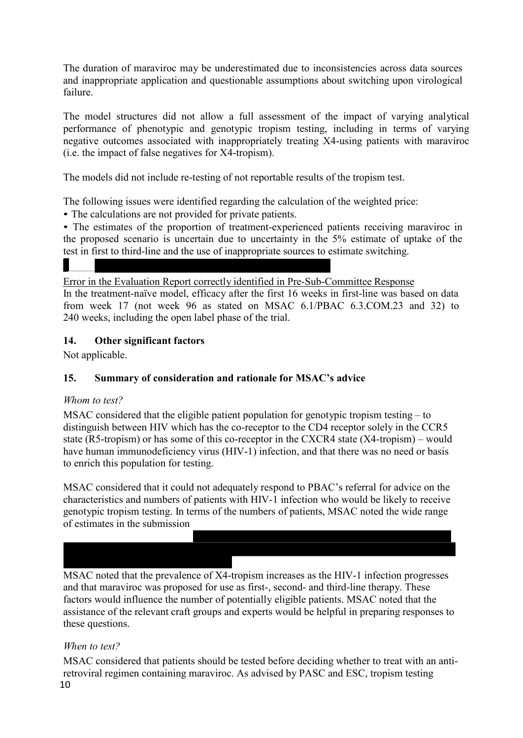The duration of maraviroc may be underestimated due to inconsistencies across data sources and inappropriate application and questionable assumptions about switching upon virological failure.

The model structures did not allow a full assessment of the impact of varying analytical performance of phenotypic and genotypic tropism testing, including in terms of varying negative outcomes associated with inappropriately treating X4-using patients with maraviroc (i.e. the impact of false negatives for X4-tropism).

The models did not include re-testing of not reportable results of the tropism test.

The following issues were identified regarding the calculation of the weighted price:

• The calculations are not provided for private patients.

• The estimates of the proportion of treatment-experienced patients receiving maraviroc in the proposed scenario is uncertain due to uncertainty in the 5% estimate of uptake of the test in first to third-line and the use of inappropriate sources to estimate switching.

Error in the Evaluation Report correctly identified in Pre-Sub-Committee Response In the treatment-naïve model, efficacy after the first 16 weeks in first-line was based on data

from week 17 (not week 96 as stated on MSAC 6.1/PBAC 6.3.COM.23 and 32) to 240 weeks, including the open label phase of the trial.

#### **14. Other significant factors**

Not applicable.

# **15. Summary of consideration and rationale for MSAC's advice**

#### *Whom to test?*

MSAC considered that the eligible patient population for genotypic tropism testing – to distinguish between HIV which has the co-receptor to the CD4 receptor solely in the CCR5 state (R5-tropism) or has some of this co-receptor in the CXCR4 state (X4-tropism) – would have human immunodeficiency virus (HIV-1) infection, and that there was no need or basis to enrich this population for testing.

MSAC considered that it could not adequately respond to PBAC's referral for advice on the characteristics and numbers of patients with HIV-1 infection who would be likely to receive genotypic tropism testing. In terms of the numbers of patients, MSAC noted the wide range of estimates in the submission

MSAC noted that the prevalence of X4-tropism increases as the HIV-1 infection progresses and that maraviroc was proposed for use as first-, second- and third-line therapy. These factors would influence the number of potentially eligible patients. MSAC noted that the assistance of the relevant craft groups and experts would be helpful in preparing responses to these questions.

# *When to test?*

10 MSAC considered that patients should be tested before deciding whether to treat with an antiretroviral regimen containing maraviroc. As advised by PASC and ESC, tropism testing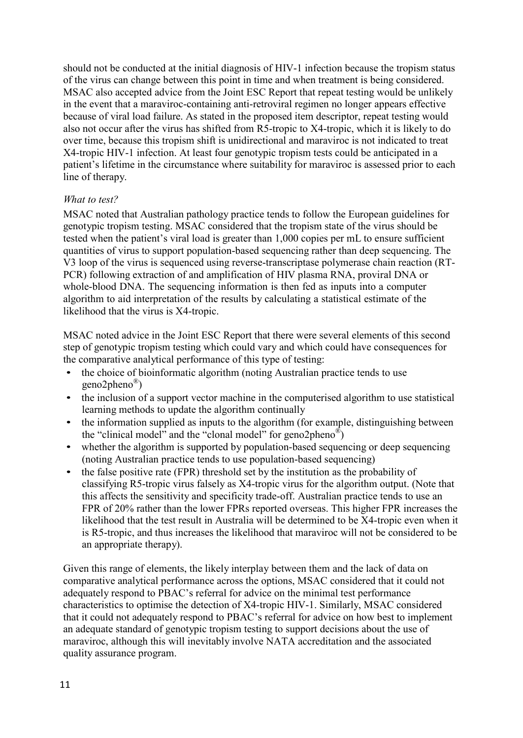should not be conducted at the initial diagnosis of HIV-1 infection because the tropism status of the virus can change between this point in time and when treatment is being considered. MSAC also accepted advice from the Joint ESC Report that repeat testing would be unlikely in the event that a maraviroc-containing anti-retroviral regimen no longer appears effective because of viral load failure. As stated in the proposed item descriptor, repeat testing would also not occur after the virus has shifted from R5-tropic to X4-tropic, which it is likely to do over time, because this tropism shift is unidirectional and maraviroc is not indicated to treat X4-tropic HIV-1 infection. At least four genotypic tropism tests could be anticipated in a patient's lifetime in the circumstance where suitability for maraviroc is assessed prior to each line of therapy.

#### *What to test?*

MSAC noted that Australian pathology practice tends to follow the European guidelines for genotypic tropism testing. MSAC considered that the tropism state of the virus should be tested when the patient's viral load is greater than 1,000 copies per mL to ensure sufficient quantities of virus to support population-based sequencing rather than deep sequencing. The V3 loop of the virus is sequenced using reverse-transcriptase polymerase chain reaction (RT-PCR) following extraction of and amplification of HIV plasma RNA, proviral DNA or whole-blood DNA. The sequencing information is then fed as inputs into a computer algorithm to aid interpretation of the results by calculating a statistical estimate of the likelihood that the virus is X4-tropic.

MSAC noted advice in the Joint ESC Report that there were several elements of this second step of genotypic tropism testing which could vary and which could have consequences for the comparative analytical performance of this type of testing:

- the choice of bioinformatic algorithm (noting Australian practice tends to use geno2pheno ® )
- the inclusion of a support vector machine in the computerised algorithm to use statistical learning methods to update the algorithm continually
- the information supplied as inputs to the algorithm (for example, distinguishing between the "clinical model" and the "clonal model" for geno2pheno<sup>®</sup>)
- whether the algorithm is supported by population-based sequencing or deep sequencing (noting Australian practice tends to use population-based sequencing)
- the false positive rate (FPR) threshold set by the institution as the probability of classifying R5-tropic virus falsely as X4-tropic virus for the algorithm output. (Note that this affects the sensitivity and specificity trade-off. Australian practice tends to use an FPR of 20% rather than the lower FPRs reported overseas. This higher FPR increases the likelihood that the test result in Australia will be determined to be X4-tropic even when it is R5-tropic, and thus increases the likelihood that maraviroc will not be considered to be an appropriate therapy).

Given this range of elements, the likely interplay between them and the lack of data on comparative analytical performance across the options, MSAC considered that it could not adequately respond to PBAC's referral for advice on the minimal test performance characteristics to optimise the detection of X4-tropic HIV-1. Similarly, MSAC considered that it could not adequately respond to PBAC's referral for advice on how best to implement an adequate standard of genotypic tropism testing to support decisions about the use of maraviroc, although this will inevitably involve NATA accreditation and the associated quality assurance program.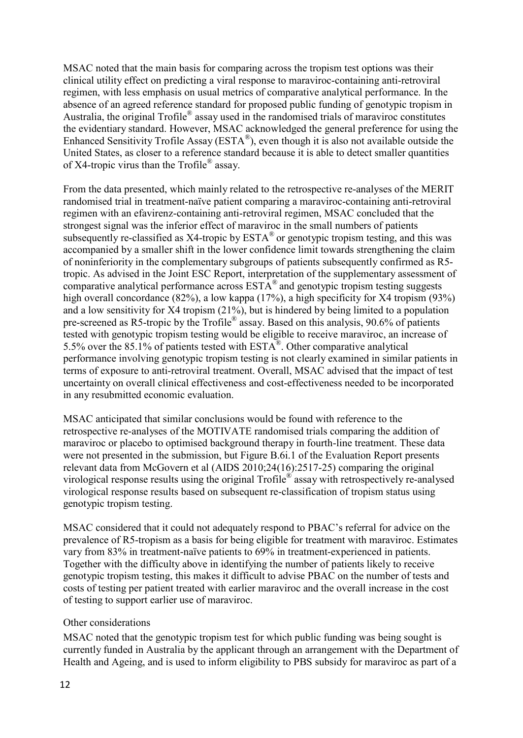MSAC noted that the main basis for comparing across the tropism test options was their clinical utility effect on predicting a viral response to maraviroc-containing anti-retroviral regimen, with less emphasis on usual metrics of comparative analytical performance. In the absence of an agreed reference standard for proposed public funding of genotypic tropism in Australia, the original Trofile® assay used in the randomised trials of maraviroc constitutes the evidentiary standard. However, MSAC acknowledged the general preference for using the Enhanced Sensitivity Trofile Assay ( $ESTA^{\mathcal{B}}$ ), even though it is also not available outside the United States, as closer to a reference standard because it is able to detect smaller quantities of X4-tropic virus than the Trofile<sup>®</sup> assay.

From the data presented, which mainly related to the retrospective re-analyses of the MERIT randomised trial in treatment-naïve patient comparing a maraviroc-containing anti-retroviral regimen with an efavirenz-containing anti-retroviral regimen, MSAC concluded that the strongest signal was the inferior effect of maraviroc in the small numbers of patients subsequently re-classified as X4-tropic by  $ESTA^{\otimes}$  or genotypic tropism testing, and this was accompanied by a smaller shift in the lower confidence limit towards strengthening the claim of noninferiority in the complementary subgroups of patients subsequently confirmed as R5 tropic. As advised in the Joint ESC Report, interpretation of the supplementary assessment of comparative analytical performance across ESTA ® and genotypic tropism testing suggests high overall concordance (82%), a low kappa (17%), a high specificity for X4 tropism (93%) and a low sensitivity for X4 tropism (21%), but is hindered by being limited to a population pre-screened as R5-tropic by the Trofile<sup>®</sup> assay. Based on this analysis, 90.6% of patients tested with genotypic tropism testing would be eligible to receive maraviroc, an increase of 5.5% over the 85.1% of patients tested with  $ESTA^{\circledR}$ . Other comparative analytical performance involving genotypic tropism testing is not clearly examined in similar patients in terms of exposure to anti-retroviral treatment. Overall, MSAC advised that the impact of test uncertainty on overall clinical effectiveness and cost-effectiveness needed to be incorporated in any resubmitted economic evaluation.

MSAC anticipated that similar conclusions would be found with reference to the retrospective re-analyses of the MOTIVATE randomised trials comparing the addition of maraviroc or placebo to optimised background therapy in fourth-line treatment. These data were not presented in the submission, but Figure B.6i.1 of the Evaluation Report presents relevant data from McGovern et al (AIDS 2010;24(16):2517-25) comparing the original virological response results using the original Trofile ® assay with retrospectively re-analysed virological response results based on subsequent re-classification of tropism status using genotypic tropism testing.

MSAC considered that it could not adequately respond to PBAC's referral for advice on the prevalence of R5-tropism as a basis for being eligible for treatment with maraviroc. Estimates vary from 83% in treatment-naïve patients to 69% in treatment-experienced in patients. Together with the difficulty above in identifying the number of patients likely to receive genotypic tropism testing, this makes it difficult to advise PBAC on the number of tests and costs of testing per patient treated with earlier maraviroc and the overall increase in the cost of testing to support earlier use of maraviroc.

#### Other considerations

MSAC noted that the genotypic tropism test for which public funding was being sought is currently funded in Australia by the applicant through an arrangement with the Department of Health and Ageing, and is used to inform eligibility to PBS subsidy for maraviroc as part of a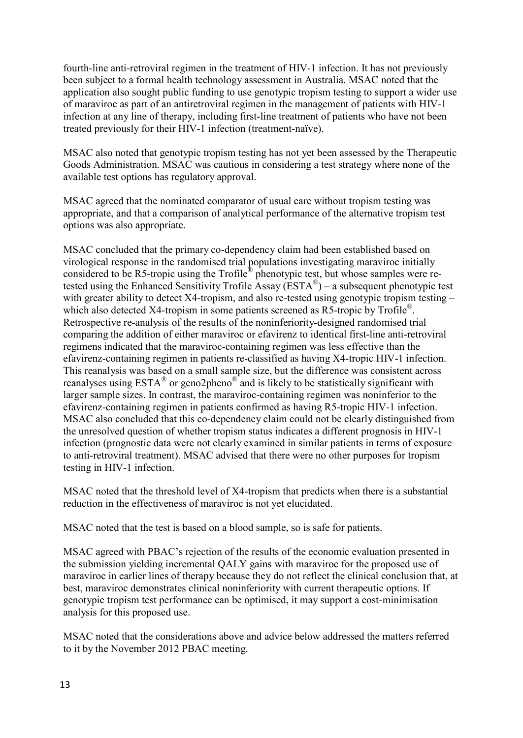fourth-line anti-retroviral regimen in the treatment of HIV-1 infection. It has not previously been subject to a formal health technology assessment in Australia. MSAC noted that the application also sought public funding to use genotypic tropism testing to support a wider use of maraviroc as part of an antiretroviral regimen in the management of patients with HIV-1 infection at any line of therapy, including first-line treatment of patients who have not been treated previously for their HIV-1 infection (treatment-naïve).

MSAC also noted that genotypic tropism testing has not yet been assessed by the Therapeutic Goods Administration. MSAC was cautious in considering a test strategy where none of the available test options has regulatory approval.

MSAC agreed that the nominated comparator of usual care without tropism testing was appropriate, and that a comparison of analytical performance of the alternative tropism test options was also appropriate.

MSAC concluded that the primary co-dependency claim had been established based on virological response in the randomised trial populations investigating maraviroc initially considered to be R5-tropic using the Trofile<sup>®</sup> phenotypic test, but whose samples were retested using the Enhanced Sensitivity Trofile Assay ( $ESTA^{\circledast}$ ) – a subsequent phenotypic test with greater ability to detect X4-tropism, and also re-tested using genotypic tropism testing – which also detected X4-tropism in some patients screened as R5-tropic by Trofile®. Retrospective re-analysis of the results of the noninferiority-designed randomised trial comparing the addition of either maraviroc or efavirenz to identical first-line anti-retroviral regimens indicated that the maraviroc-containing regimen was less effective than the efavirenz-containing regimen in patients re-classified as having X4-tropic HIV-1 infection. This reanalysis was based on a small sample size, but the difference was consistent across reanalyses using  $ESTA^{\circledast}$  or geno2pheno $^{\circledast}$  and is likely to be statistically significant with larger sample sizes. In contrast, the maraviroc-containing regimen was noninferior to the efavirenz-containing regimen in patients confirmed as having R5-tropic HIV-1 infection. MSAC also concluded that this co-dependency claim could not be clearly distinguished from the unresolved question of whether tropism status indicates a different prognosis in HIV-1 infection (prognostic data were not clearly examined in similar patients in terms of exposure to anti-retroviral treatment). MSAC advised that there were no other purposes for tropism testing in HIV-1 infection.

MSAC noted that the threshold level of X4-tropism that predicts when there is a substantial reduction in the effectiveness of maraviroc is not yet elucidated.

MSAC noted that the test is based on a blood sample, so is safe for patients.

MSAC agreed with PBAC's rejection of the results of the economic evaluation presented in the submission yielding incremental QALY gains with maraviroc for the proposed use of maraviroc in earlier lines of therapy because they do not reflect the clinical conclusion that, at best, maraviroc demonstrates clinical noninferiority with current therapeutic options. If genotypic tropism test performance can be optimised, it may support a cost-minimisation analysis for this proposed use.

MSAC noted that the considerations above and advice below addressed the matters referred to it by the November 2012 PBAC meeting.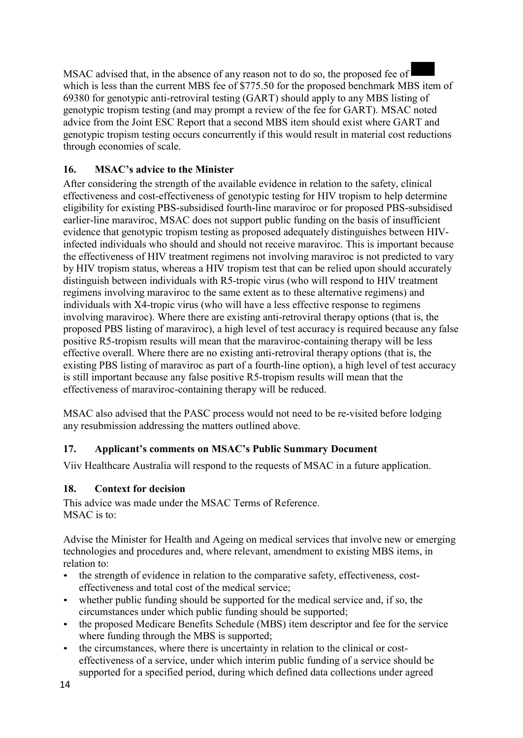MSAC advised that, in the absence of any reason not to do so, the proposed fee of which is less than the current MBS fee of \$775.50 for the proposed benchmark MBS item of 69380 for genotypic anti-retroviral testing (GART) should apply to any MBS listing of genotypic tropism testing (and may prompt a review of the fee for GART). MSAC noted advice from the Joint ESC Report that a second MBS item should exist where GART and genotypic tropism testing occurs concurrently if this would result in material cost reductions through economies of scale.

# **16. MSAC's advice to the Minister**

After considering the strength of the available evidence in relation to the safety, clinical effectiveness and cost-effectiveness of genotypic testing for HIV tropism to help determine eligibility for existing PBS-subsidised fourth-line maraviroc or for proposed PBS-subsidised earlier-line maraviroc, MSAC does not support public funding on the basis of insufficient evidence that genotypic tropism testing as proposed adequately distinguishes between HIVinfected individuals who should and should not receive maraviroc. This is important because the effectiveness of HIV treatment regimens not involving maraviroc is not predicted to vary by HIV tropism status, whereas a HIV tropism test that can be relied upon should accurately distinguish between individuals with R5-tropic virus (who will respond to HIV treatment regimens involving maraviroc to the same extent as to these alternative regimens) and individuals with X4-tropic virus (who will have a less effective response to regimens involving maraviroc). Where there are existing anti-retroviral therapy options (that is, the proposed PBS listing of maraviroc), a high level of test accuracy is required because any false positive R5-tropism results will mean that the maraviroc-containing therapy will be less effective overall. Where there are no existing anti-retroviral therapy options (that is, the existing PBS listing of maraviroc as part of a fourth-line option), a high level of test accuracy is still important because any false positive R5-tropism results will mean that the effectiveness of maraviroc-containing therapy will be reduced.

MSAC also advised that the PASC process would not need to be re-visited before lodging any resubmission addressing the matters outlined above.

# **17. Applicant's comments on MSAC's Public Summary Document**

Viiv Healthcare Australia will respond to the requests of MSAC in a future application.

# **18. Context for decision**

This advice was made under the MSAC Terms of Reference. MSAC is to:

Advise the Minister for Health and Ageing on medical services that involve new or emerging technologies and procedures and, where relevant, amendment to existing MBS items, in relation to:

- the strength of evidence in relation to the comparative safety, effectiveness, costeffectiveness and total cost of the medical service;
- whether public funding should be supported for the medical service and, if so, the circumstances under which public funding should be supported;
- the proposed Medicare Benefits Schedule (MBS) item descriptor and fee for the service where funding through the MBS is supported;
- the circumstances, where there is uncertainty in relation to the clinical or costeffectiveness of a service, under which interim public funding of a service should be supported for a specified period, during which defined data collections under agreed